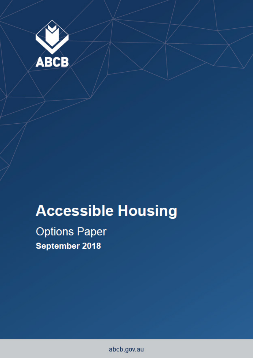

# **Accessible Housing**

**Options Paper** September 2018

abcb.gov.au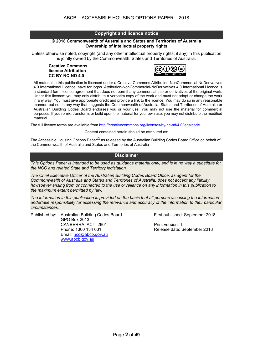#### **Copyright and licence notice**

#### **© 2018 Commonwealth of Australia and States and Territories of Australia Ownership of intellectual property rights**

Unless otherwise noted, copyright (and any other intellectual property rights, if any) in this publication is jointly owned by the Commonwealth, States and Territories of Australia.

#### **Creative Commons licence Attribution CC BY-NC-ND 4.0**



All material in this publication is licensed under a Creative Commons Attribution-NonCommercial-NoDerivatives 4.0 International Licence, save for logos. Attribution-NonCommercial-NoDerivatives 4.0 International Licence is a standard form licence agreement that does not permit any commercial use or derivatives of the original work. Under this licence: you may only distribute a verbatim copy of the work and must not adapt or change the work in any way. You must give appropriate credit and provide a link to the licence. You may do so in any reasonable manner, but not in any way that suggests the Commonwealth of Australia, States and Territories of Australia or Australian Building Codes Board endorses you or your use. You may not use the material for commercial purposes. If you remix, transform, or build upon the material for your own use, you may not distribute the modified material.

The full licence terms are available from http://creativecommons.org/licenses/by-nc-nd/4.0/legalcode.

Content contained herein should be attributed as:

The Accessible Housing Options Paper<sup>©</sup> as released by the Australian Building Codes Board Office on behalf of the Commonwealth of Australia and States and Territories of Australia

#### **Disclaimer**

*This Options Paper is intended to be used as guidance material only, and is in no way a substitute for the NCC and related State and Territory legislation.*

*The Chief Executive Officer of the Australian Building Codes Board Office, as agent for the Commonwealth of Australia and States and Territories of Australia, does not accept any liability howsoever arising from or connected to the use or reliance on any information in this publication to the maximum extent permitted by law.*

*The information in this publication is provided on the basis that all persons accessing the information undertake responsibility for assessing the relevance and accuracy of the information to their particular circumstances.*

Published by: Australian Building Codes Board First published: September 2018 GPO Box 2013 CANBERRA ACT 2601 Print version: 1 Phone: 1300 134 631 Release date: September 2018 Email: ncc@abcb.gov.au www.abcb.gov.au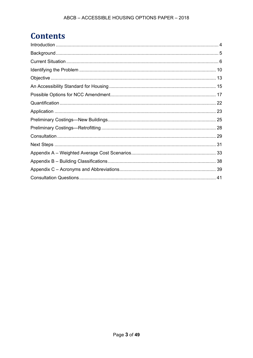## **Contents**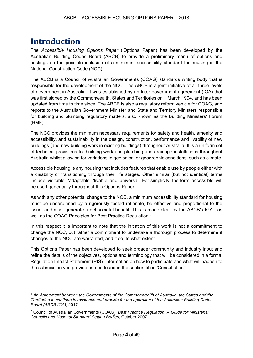## **Introduction**

The *Accessible Housing Options Paper* ('Options Paper') has been developed by the Australian Building Codes Board (ABCB) to provide a preliminary menu of options and costings on the possible inclusion of a minimum accessibility standard for housing in the National Construction Code (NCC).

The ABCB is a Council of Australian Governments (COAG) standards writing body that is responsible for the development of the NCC. The ABCB is a joint initiative of all three levels of government in Australia. It was established by an Inter-government agreement (IGA) that was first signed by the Commonwealth, States and Territories on 1 March 1994, and has been updated from time to time since. The ABCB is also a regulatory reform vehicle for COAG, and reports to the Australian Government Minister and State and Territory Ministers responsible for building and plumbing regulatory matters, also known as the Building Ministers' Forum (BMF).

The NCC provides the minimum necessary requirements for safety and health, amenity and accessibility, and sustainability in the design, construction, performance and livability of new buildings (and new building work in existing buildings) throughout Australia. It is a uniform set of technical provisions for building work and plumbing and drainage installations throughout Australia whilst allowing for variations in geological or geographic conditions, such as climate.

Accessible housing is any housing that includes features that enable use by people either with a disability or transitioning through their life stages. Other similar (but not identical) terms include 'visitable', 'adaptable', 'livable' and 'universal'. For simplicity, the term 'accessible' will be used generically throughout this Options Paper.

As with any other potential change to the NCC, a minimum accessibility standard for housing must be underpinned by a rigorously tested rationale, be effective and proportional to the issue, and must generate a net societal benefit. This is made clear by the ABCB's  $IGA<sup>1</sup>$ , as well as the COAG Principles for Best Practice Regulation. 2

In this respect it is important to note that the initiation of this work is not a commitment to change the NCC, but rather a commitment to undertake a thorough process to determine if changes to the NCC are warranted, and if so, to what extent.

This Options Paper has been developed to seek broader community and industry input and refine the details of the objectives, options and terminology that will be considered in a formal Regulation Impact Statement (RIS). Information on how to participate and what will happen to the submission you provide can be found in the section titled 'Consultation'.

<sup>1</sup> *An Agreement between the Governments of the Commonwealth of Australia, the States and the Territories to continue in existence and provide for the operation of the Australian Building Codes Board (ABCB IGA)*, 2017.

<sup>2</sup> Council of Australian Governments (COAG), *Best Practice Regulation: A Guide for Ministerial Councils and National Standard Setting Bodies,* October 2007.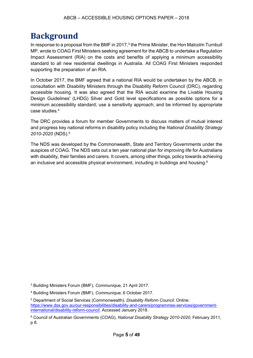## **Background**

In response to a proposal from the BMF in 2017,<sup>3</sup> the Prime Minister, the Hon Malcolm Turnbull MP, wrote to COAG First Ministers seeking agreement for the ABCB to undertake a Regulation Impact Assessment (RIA) on the costs and benefits of applying a minimum accessibility standard to all new residential dwellings in Australia. All COAG First Ministers responded supporting the preparation of an RIA.

In October 2017, the BMF agreed that a national RIA would be undertaken by the ABCB, in consultation with Disability Ministers through the Disability Reform Council (DRC), regarding accessible housing. It was also agreed that the RIA would examine the Livable Housing Design Guidelines' (LHDG) Silver and Gold level specifications as possible options for a minimum accessibility standard; use a sensitivity approach; and be informed by appropriate case studies.4

The DRC provides a forum for member Governments to discuss matters of mutual interest and progress key national reforms in disability policy including the *National Disability Strategy 2010-2020* (NDS).5

The NDS was developed by the Commonwealth, State and Territory Governments under the auspices of COAG. The NDS sets out a ten year national plan for improving life for Australians with disability, their families and carers. It covers, among other things, policy towards achieving an inclusive and accessible physical environment, including in buildings and housing.6

<sup>3</sup> Building Ministers Forum (BMF), *Communique,* 21 April 2017.

<sup>4</sup> Building Ministers Forum (BMF), *Communique,* 6 October 2017.

<sup>5</sup> Department of Social Services (Commonwealth), *Disability Reform Council.* Online: https://www.dss.gov.au/our-responsibilities/disability-and-carers/programmes-services/governmentinternational/disability-reform-council. Accessed January 2018.

<sup>6</sup> Council of Australian Governments (COAG), *National Disability Strategy 2010-2020*, February 2011, p 8.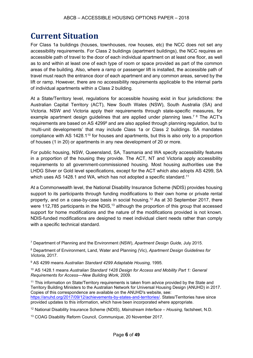## **Current Situation**

For Class 1a buildings (houses, townhouses, row houses, etc) the NCC does not set any accessibility requirements. For Class 2 buildings (apartment buildings), the NCC requires an accessible path of travel to the door of each individual apartment on at least one floor, as well as to and within at least one of each type of room or space provided as part of the common areas of the building. Also, where a ramp or passenger lift is installed, the accessible path of travel must reach the entrance door of each apartment and any common areas, served by the lift or ramp. However, there are no accessibility requirements applicable to the internal parts of individual apartments within a Class 2 building.

At a State/Territory level, regulations for accessible housing exist in four jurisdictions: the Australian Capital Territory (ACT), New South Wales (NSW), South Australia (SA) and Victoria. NSW and Victoria apply their requirements through state-specific measures, for example apartment design guidelines that are applied under planning laws.<sup>78</sup> The ACT's requirements are based on AS 4299<sup>9</sup> and are also applied through planning regulation, but to 'multi-unit developments' that may include Class 1a or Class 2 buildings. SA mandates compliance with AS 1428.110 for houses and apartments, but this is also only to a proportion of houses (1 in 20) or apartments in any new development of 20 or more.

For public housing, NSW, Queensland, SA, Tasmania and WA specify accessibility features in a proportion of the housing they provide. The ACT, NT and Victoria apply accessibility requirements to all government-commissioned housing. Most housing authorities use the LHDG Silver or Gold level specifications, except for the ACT which also adopts AS 4299, SA which uses AS 1428.1 and WA, which has not adopted a specific standard.<sup>11</sup>

At a Commonwealth level, the National Disability Insurance Scheme (NDIS) provides housing support to its participants through funding modifications to their own home or private rental property, and on a case-by-case basis in social housing. <sup>12</sup> As at 30 September 2017, there were 112,785 participants in the NDIS,<sup>13</sup> although the proportion of this group that accessed support for home modifications and the nature of the modifications provided is not known. NDIS-funded modifications are designed to meet individual client needs rather than comply with a specific technical standard.

<sup>7</sup> Department of Planning and the Environment (NSW), *Apartment Design Guide,* July 2015.

<sup>8</sup> Department of Environment, Land, Water and Planning (Vic), *Apartment Design Guidelines for Victoria,* 2017.

<sup>9</sup> AS 4299 means *Australian Standard 4299 Adaptable Housing,* 1995*.* 

<sup>10</sup> AS 1428.1 means *Australian Standard 1428 Design for Access and Mobility Part 1: General Requirements for Access—New Building Work,* 2009.

<sup>11</sup> This information on State/Territory requirements is taken from advice provided by the State and Territory Building Ministers to the Australian Network for Universal Housing Design (ANUHD) in 2017. Copies of this correspondence are available on the ANUHD's website, see: https://anuhd.org/2017/09/12/achievements-by-states-and-territories/. States/Territories have since provided updates to this information, which have been incorporated where appropriate.

<sup>12</sup> National Disability Insurance Scheme (NDIS), *Mainstream Interface – Housing,* factsheet, N.D.

<sup>13</sup> COAG Disability Reform Council, *Communique*, 20 November 2017*.*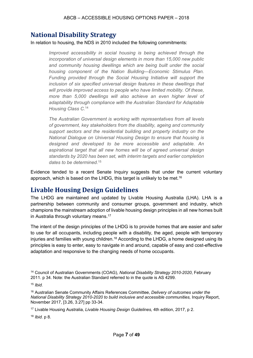### **National Disability Strategy**

In relation to housing, the NDS in 2010 included the following commitments:

*Improved accessibility in social housing is being achieved through the incorporation of universal design elements in more than 15,000 new public and community housing dwellings which are being built under the social housing component of the Nation Building—Economic Stimulus Plan. Funding provided through the Social Housing Initiative will support the inclusion of six specified universal design features in these dwellings that will provide improved access to people who have limited mobility. Of these, more than 5,000 dwellings will also achieve an even higher level of adaptability through compliance with the Australian Standard for Adaptable Housing Class C.*<sup>14</sup>

*The Australian Government is working with representatives from all levels of government, key stakeholders from the disability, ageing and community support sectors and the residential building and property industry on the National Dialogue on Universal Housing Design to ensure that housing is designed and developed to be more accessible and adaptable. An aspirational target that all new homes will be of agreed universal design standards by 2020 has been set, with interim targets and earlier completion dates to be determined.*<sup>15</sup>

Evidence tended to a recent Senate Inquiry suggests that under the current voluntary approach, which is based on the LHDG, this target is unlikely to be met.<sup>16</sup>

## **Livable Housing Design Guidelines**

The LHDG are maintained and updated by Livable Housing Australia (LHA). LHA is a partnership between community and consumer groups, government and industry, which champions the mainstream adoption of livable housing design principles in all new homes built in Australia through voluntary means. 17

The intent of the design principles of the LHDG is to provide homes that are easier and safer to use for all occupants, including people with a disability, the aged, people with temporary injuries and families with young children.<sup>18</sup> According to the LHDG, a home designed using its principles is easy to enter, easy to navigate in and around, capable of easy and cost-effective adaptation and responsive to the changing needs of home occupants.

<sup>16</sup> Australian Senate Community Affairs References Committee, *Delivery of outcomes under the National Disability Strategy 2010-2020 to build inclusive and accessible communities, Inquiry Report,* November 2017, [3.26, 3.27] pp 33-34.

<sup>17</sup> Livable Housing Australia, *Livable Housing Design Guidelines,* 4th edition, 2017, p 2.

<sup>18</sup> *Ibid.* p 8.

<sup>14</sup> Council of Australian Governments (COAG), *National Disability Strategy 2010-2020*, February 2011. p 34. Note: the Australian Standard referred to in the quote is AS 4299.

<sup>15</sup> *Ibid.*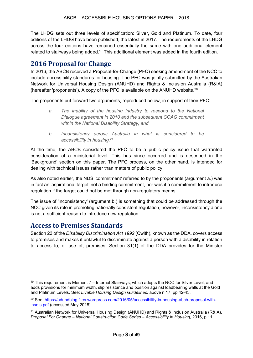The LHDG sets out three levels of specification: Silver, Gold and Platinum. To date, four editions of the LHDG have been published, the latest in 2017. The requirements of the LHDG across the four editions have remained essentially the same with one additional element related to stairways being added.<sup>19</sup> This additional element was added in the fourth edition.

### **2016 Proposal for Change**

In 2016, the ABCB received a Proposal-for-Change (PFC) seeking amendment of the NCC to include accessibility standards for housing. The PFC was jointly submitted by the Australian Network for Universal Housing Design (ANUHD) and Rights & Inclusion Australia (R&IA) (hereafter 'proponents'). A copy of the PFC is available on the ANUHD website.20

The proponents put forward two arguments, reproduced below, in support of their PFC:

- *a. The inability of the housing industry to respond to the National Dialogue agreement in 2010 and the subsequent COAG commitment within the National Disability Strategy; and*
- *b. Inconsistency across Australia in what is considered to be accessibility in housing.*<sup>21</sup>

At the time, the ABCB considered the PFC to be a public policy issue that warranted consideration at a ministerial level. This has since occurred and is described in the 'Background' section on this paper. The PFC process, on the other hand, is intended for dealing with technical issues rather than matters of public policy.

As also noted earlier, the NDS 'commitment' referred to by the proponents (argument a.) was in fact an 'aspirational target' not a binding commitment, nor was it a commitment to introduce regulation if the target could not be met through non-regulatory means.

The issue of 'inconsistency' (argument b.) is something that could be addressed through the NCC given its role in promoting nationally consistent regulation, however, inconsistency alone is not a sufficient reason to introduce new regulation.

#### **Access to Premises Standards**

Section 23 of the *Disability Discrimination Act 1992* (Cwlth), known as the DDA, covers access to premises and makes it unlawful to discriminate against a person with a disability in relation to access to, or use of, premises. Section 31(1) of the DDA provides for the Minister

<sup>20</sup> See: https://aduhdblog.files.wordpress.com/2016/05/accessibility-in-housing-abcb-proposal-withinsets.pdf (accessed May 2018).

<sup>21</sup> Australian Network for Universal Housing Design (ANUHD) and Rights & Inclusion Australia (R&IA), *Proposal For Change – National Construction Code Series – Accessibility in Housing,* 2016, p 11.

 $19$  This requirement is Element  $7 -$  Internal Stairways, which adopts the NCC for Silver Level, and adds provisions for minimum width, slip resistance and position against loadbearing walls at the Gold and Platinum Levels. See: *Livable Housing Design Guidelines,* above n 17, pp 42-43.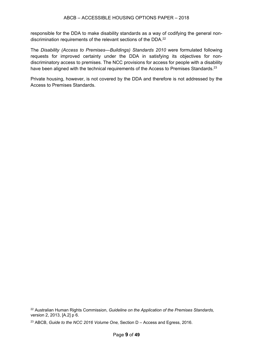responsible for the DDA to make disability standards as a way of codifying the general nondiscrimination requirements of the relevant sections of the DDA.22

The *Disability (Access to Premises—Buildings) Standards 2010* were formulated following requests for improved certainty under the DDA in satisfying its objectives for nondiscriminatory access to premises. The NCC provisions for access for people with a disability have been aligned with the technical requirements of the Access to Premises Standards.<sup>23</sup>

Private housing, however, is not covered by the DDA and therefore is not addressed by the Access to Premises Standards.

<sup>22</sup> Australian Human Rights Commission, *Guideline on the Application of the Premises Standards,* version 2, 2013, [A.2] p 6.

<sup>23</sup> ABCB, *Guide to the NCC 2016 Volume One,* Section D – Access and Egress, 2016.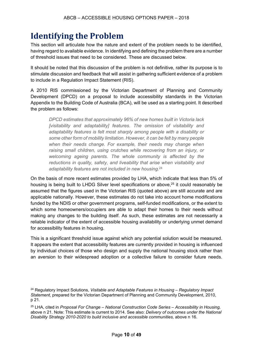## **Identifying the Problem**

This section will articulate how the nature and extent of the problem needs to be identified, having regard to available evidence. In identifying and defining the problem there are a number of threshold issues that need to be considered. These are discussed below.

It should be noted that this discussion of the problem is not definitive, rather its purpose is to stimulate discussion and feedback that will assist in gathering sufficient evidence of a problem to include in a Regulation Impact Statement (RIS).

A 2010 RIS commissioned by the Victorian Department of Planning and Community Development (DPCD) on a proposal to include accessibility standards in the Victorian Appendix to the Building Code of Australia (BCA), will be used as a starting point. It described the problem as follows:

*DPCD estimates that approximately 96% of new homes built in Victoria lack [visitability and adaptability] features. The omission of visitability and adaptability features is felt most sharply among people with a disability or some other form of mobility limitation. However, it can be felt by many people when their needs change. For example, their needs may change when raising small children, using crutches while recovering from an injury, or welcoming ageing parents. The whole community is affected by the reductions in quality, safety, and liveability that arise when visitability and adaptability features are not included in new housing.*<sup>24</sup>

On the basis of more recent estimates provided by LHA, which indicate that less than 5% of housing is being built to LHDG Silver level specifications or above.<sup>25</sup> it could reasonably be assumed that the figures used in the Victorian RIS (quoted above) are still accurate and are applicable nationally. However, these estimates do not take into account home modifications funded by the NDIS or other government programs, self-funded modifications, or the extent to which some homeowners/occupiers are able to adapt their homes to their needs without making any changes to the building itself. As such, these estimates are not necessarily a reliable indicator of the extent of accessible housing availability or underlying unmet demand for accessibility features in housing.

This is a significant threshold issue against which any potential solution would be measured. It appears the extent that accessibility features are currently provided in housing is influenced by individual choices of those who design and supply the national housing stock rather than an aversion to their widespread adoption or a collective failure to consider future needs.

<sup>25</sup> LHA, cited in *Proposal For Change – National Construction Code Series – Accessibility in Housing,*  above n 21. Note: This estimate is current to 2014. See also: *Delivery of outcomes under the National Disability Strategy 2010-2020 to build inclusive and accessible communities,* above n 16.

<sup>24</sup> Regulatory Impact Solutions, *Visitable and Adaptable Features in Housing – Regulatory Impact Statement,* prepared for the Victorian Department of Planning and Community Development, 2010, p 21.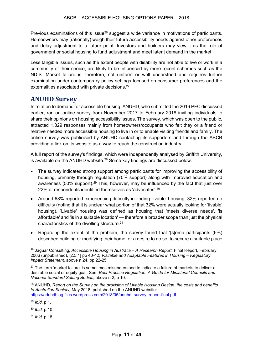Previous examinations of this issue<sup>26</sup> suggest a wide variance in motivations of participants. Homeowners may (rationally) weigh their future accessibility needs against other preferences and delay adjustment to a future point. Investors and builders may view it as the role of government or social housing to fund adjustment and meet latent demand in the market.

Less tangible issues, such as the extent people with disability are not able to live or work in a community of their choice, are likely to be influenced by more recent schemes such as the NDIS. Market failure is, therefore, not uniform or well understood and requires further examination under contemporary policy settings focused on consumer preferences and the externalities associated with private decisions.<sup>27</sup>

### **ANUHD Survey**

In relation to demand for accessible housing, ANUHD, who submitted the 2016 PFC discussed earlier, ran an online survey from November 2017 to February 2018 inviting individuals to share their opinions on housing accessibility issues. The survey, which was open to the public, attracted 1,329 responses mainly from homeowners/occupants who felt they or a friend or relative needed more accessible housing to live in or to enable visiting friends and family. The online survey was publicised by ANUHD contacting its supporters and through the ABCB providing a link on its website as a way to reach the construction industry.

A full report of the survey's findings, which were independently analysed by Griffith University, is available on the ANUHD website. $28$  Some key findings are discussed below.

- The survey indicated strong support among participants for improving the accessibility of housing, primarily through regulation (70% support) along with improved education and awareness (50% support).<sup>29</sup> This, however, may be influenced by the fact that just over 22% of respondents identified themselves as 'advocates'.<sup>30</sup>
- Around 68% reported experiencing difficulty in finding 'livable' housing; 32% reported no difficulty (noting that it is unclear what portion of that 32% were actually looking for 'livable' housing). 'Livable' housing was defined as housing that 'meets diverse needs', 'is affordable' and 'is in a suitable location' — therefore a broader scope than just the physical characteristics of the dwelling structure. 31
- Regarding the extent of the problem, the survey found that '[s]ome participants (6%) described building or modifying their home, or a desire to do so, to secure a suitable place

<sup>26</sup> Jaguar Consulting, *Accessible Housing in Australia – A Research Report,* Final Report, February 2006 (unpublished), [2.5.1] pp 40-42; *Visitable and Adaptable Features in Housing – Regulatory Impact Statement,* above n 24, pp 22-25.

 $27$  The term 'market failure' is sometimes misunderstood to indicate a failure of markets to deliver a desirable social or equity goal. See: *Best Practice Regulation: A Guide for Ministerial Councils and National Standard Setting Bodies*, above n 2, p 10.

<sup>28</sup> ANUHD, *Report on the Survey on the provision of Livable Housing Design: the costs and benefits to Australian Society,* May 2018, published on the ANUHD website: https://aduhdblog.files.wordpress.com/2018/05/anuhd\_survey\_report-final.pdf.

<sup>29</sup> *Ibid.* p 1.

<sup>30</sup> *Ibid.* p 10.

<sup>31</sup> *Ibid.* p 18.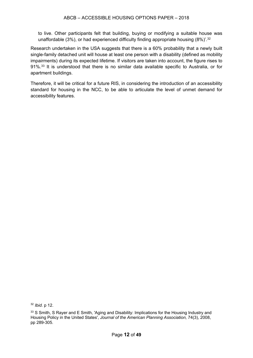to live. Other participants felt that building, buying or modifying a suitable house was unaffordable (3%), or had experienced difficulty finding appropriate housing (8%)'.<sup>32</sup>

Research undertaken in the USA suggests that there is a 60% probability that a newly built single-family detached unit will house at least one person with a disability (defined as mobility impairments) during its expected lifetime. If visitors are taken into account, the figure rises to 91%.<sup>33</sup> It is understood that there is no similar data available specific to Australia, or for apartment buildings.

Therefore, it will be critical for a future RIS, in considering the introduction of an accessibility standard for housing in the NCC, to be able to articulate the level of unmet demand for accessibility features.

<sup>32</sup> *Ibid.* p 12.

<sup>&</sup>lt;sup>33</sup> S Smith, S Rayer and E Smith, 'Aging and Disability: Implications for the Housing Industry and Housing Policy in the United States', *Journal of the American Planning Association,* 74(3), 2008, pp 289-305.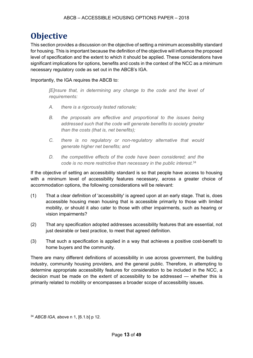## **Objective**

This section provides a discussion on the objective of setting a minimum accessibility standard for housing. This is important because the definition of the objective will influence the proposed level of specification and the extent to which it should be applied. These considerations have significant implications for options, benefits and costs in the context of the NCC as a minimum necessary regulatory code as set out in the ABCB's IGA.

Importantly, the IGA requires the ABCB to:

*[E]nsure that, in determining any change to the code and the level of requirements:*

- *A. there is a rigorously tested rationale;*
- *B. the proposals are effective and proportional to the issues being addressed such that the code will generate benefits to society greater than the costs (that is, net benefits);*
- *C. there is no regulatory or non-regulatory alternative that would generate higher net benefits; and*
- *D. the competitive effects of the code have been considered; and the code is no more restrictive than necessary in the public interest.*<sup>34</sup>

If the objective of setting an accessibility standard is so that people have access to housing with a minimum level of accessibility features necessary, across a greater choice of accommodation options, the following considerations will be relevant:

- (1) That a clear definition of 'accessibility' is agreed upon at an early stage. That is, does accessible housing mean housing that is accessible primarily to those with limited mobility, or should it also cater to those with other impairments, such as hearing or vision impairments?
- (2) That any specification adopted addresses accessibility features that are essential, not just desirable or best practice, to meet that agreed definition.
- (3) That such a specification is applied in a way that achieves a positive cost-benefit to home buyers and the community.

There are many different definitions of accessibility in use across government, the building industry, community housing providers, and the general public. Therefore, in attempting to determine appropriate accessibility features for consideration to be included in the NCC, a decision must be made on the extent of accessibility to be addressed — whether this is primarily related to mobility or encompasses a broader scope of accessibility issues.

<sup>34</sup> *ABCB IGA,* above n 1, [6.1.b] p 12.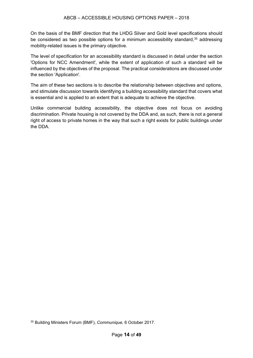On the basis of the BMF direction that the LHDG Silver and Gold level specifications should be considered as two possible options for a minimum accessibility standard,<sup>35</sup> addressing mobility-related issues is the primary objective.

The level of specification for an accessibility standard is discussed in detail under the section 'Options for NCC Amendment', while the extent of application of such a standard will be influenced by the objectives of the proposal. The practical considerations are discussed under the section 'Application'.

The aim of these two sections is to describe the relationship between objectives and options, and stimulate discussion towards identifying a building accessibility standard that covers what is essential and is applied to an extent that is adequate to achieve the objective.

Unlike commercial building accessibility, the objective does not focus on avoiding discrimination. Private housing is not covered by the DDA and, as such, there is not a general right of access to private homes in the way that such a right exists for public buildings under the DDA.

<sup>35</sup> Building Ministers Forum (BMF), *Communique,* 6 October 2017.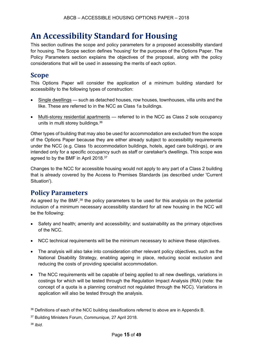## **An Accessibility Standard for Housing**

This section outlines the scope and policy parameters for a proposed accessibility standard for housing. The Scope section defines 'housing' for the purposes of the Options Paper. The Policy Parameters section explains the objectives of the proposal, along with the policy considerations that will be used in assessing the merits of each option.

## **Scope**

This Options Paper will consider the application of a minimum building standard for accessibility to the following types of construction:

- Single dwellings such as detached houses, row houses, townhouses, villa units and the like. These are referred to in the NCC as Class 1a buildings.
- Multi-storey residential apartments referred to in the NCC as Class 2 sole occupancy units in multi storey buildings.36

Other types of building that may also be used for accommodation are excluded from the scope of the Options Paper because they are either already subject to accessibility requirements under the NCC (e.g. Class 1b accommodation buildings, hotels, aged care buildings), or are intended only for a specific occupancy such as staff or caretaker's dwellings. This scope was agreed to by the BMF in April 2018.37

Changes to the NCC for accessible housing would not apply to any part of a Class 2 building that is already covered by the Access to Premises Standards (as described under 'Current Situation').

## **Policy Parameters**

As agreed by the BMF,<sup>38</sup> the policy parameters to be used for this analysis on the potential inclusion of a minimum necessary accessibility standard for all new housing in the NCC will be the following:

- Safety and health; amenity and accessibility; and sustainability as the primary objectives of the NCC.
- NCC technical requirements will be the minimum necessary to achieve these objectives.
- The analysis will also take into consideration other relevant policy objectives, such as the National Disability Strategy, enabling ageing in place, reducing social exclusion and reducing the costs of providing specialist accommodation.
- The NCC requirements will be capable of being applied to all new dwellings, variations in costings for which will be tested through the Regulation Impact Analysis (RIA) (note: the concept of a quota is a planning construct not regulated through the NCC). Variations in application will also be tested through the analysis.

<sup>38</sup> *Ibid.*

<sup>&</sup>lt;sup>36</sup> Definitions of each of the NCC building classifications referred to above are in Appendix B.

<sup>37</sup> Building Ministers Forum, *Communique,* 27 April 2018.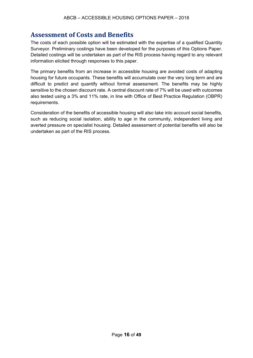## **Assessment of Costs and Benefits**

The costs of each possible option will be estimated with the expertise of a qualified Quantity Surveyor. Preliminary costings have been developed for the purposes of this Options Paper. Detailed costings will be undertaken as part of the RIS process having regard to any relevant information elicited through responses to this paper.

The primary benefits from an increase in accessible housing are avoided costs of adapting housing for future occupants. These benefits will accumulate over the very long term and are difficult to predict and quantify without formal assessment. The benefits may be highly sensitive to the chosen discount rate. A central discount rate of 7% will be used with outcomes also tested using a 3% and 11% rate, in line with Office of Best Practice Regulation (OBPR) requirements.

Consideration of the benefits of accessible housing will also take into account social benefits, such as reducing social isolation, ability to age in the community, independent living and averted pressure on specialist housing. Detailed assessment of potential benefits will also be undertaken as part of the RIS process.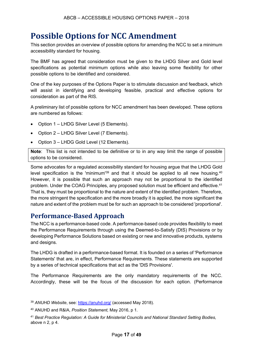## **Possible Options for NCC Amendment**

This section provides an overview of possible options for amending the NCC to set a minimum accessibility standard for housing.

The BMF has agreed that consideration must be given to the LHDG Silver and Gold level specifications as potential minimum options while also leaving some flexibility for other possible options to be identified and considered.

One of the key purposes of the Options Paper is to stimulate discussion and feedback, which will assist in identifying and developing feasible, practical and effective options for consideration as part of the RIS.

A preliminary list of possible options for NCC amendment has been developed. These options are numbered as follows:

- Option 1 LHDG Silver Level (5 Elements).
- Option 2 LHDG Silver Level (7 Elements).
- Option 3 LHDG Gold Level (12 Elements).

**Note**: This list is not intended to be definitive or to in any way limit the range of possible options to be considered.

Some advocates for a regulated accessibility standard for housing argue that the LHDG Gold level specification is the 'minimum'<sup>39</sup> and that it should be applied to all new housing.<sup>40</sup> However, it is possible that such an approach may not be proportional to the identified problem. Under the COAG Principles, any proposed solution must be efficient and effective.<sup>41</sup> That is, they must be proportional to the nature and extent of the identified problem. Therefore, the more stringent the specification and the more broadly it is applied, the more significant the nature and extent of the problem must be for such an approach to be considered 'proportional'.

### **Performance-Based Approach**

The NCC is a performance-based code. A performance-based code provides flexibility to meet the Performance Requirements through using the Deemed-to-Satisfy (DtS) Provisions or by developing Performance Solutions based on existing or new and innovative products, systems and designs.

The LHDG is drafted in a performance-based format. It is founded on a series of 'Performance Statements' that are, in effect, Performance Requirements. These statements are supported by a series of technical specifications that act as the 'DtS Provisions'.

The Performance Requirements are the only mandatory requirements of the NCC. Accordingly, these will be the focus of the discussion for each option. (Performance

<sup>39</sup> *ANUHD Website*, see: https://anuhd.org/ (accessed May 2018).

<sup>40</sup> ANUHD and R&IA, *Position Statement,* May 2016, p 1.

<sup>41</sup> *Best Practice Regulation: A Guide for Ministerial Councils and National Standard Setting Bodies,*  above n 2, p 4.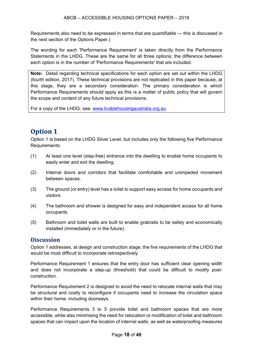Requirements also need to be expressed in terms that are quantifiable — this is discussed in the next section of the Options Paper.)

The wording for each 'Performance Requirement' is taken directly from the Performance Statements in the LHDG. These are the same for all three options; the difference between each option is in the number of 'Performance Requirements' that are included.

**Note:** Detail regarding technical specifications for each option are set out within the LHDG (fourth edition, 2017). These technical provisions are not replicated in this paper because, at this stage, they are a secondary consideration. The primary consideration is which Performance Requirements should apply as this is a matter of public policy that will govern the scope and content of any future technical provisions.

For a copy of the LHDG, see: www.livablehousingaustralia.org.au.

## **Option 1**

Option 1 is based on the LHDG Silver Level, but includes only the following five Performance Requirements:

- (1) At least one level (step-free) entrance into the dwelling to enable home occupants to easily enter and exit the dwelling.
- (2) Internal doors and corridors that facilitate comfortable and unimpeded movement between spaces.
- (3) The ground (or entry) level has a toilet to support easy access for home occupants and visitors.
- (4) The bathroom and shower is designed for easy and independent access for all home occupants.
- (5) Bathroom and toilet walls are built to enable grabrails to be safely and economically installed (immediately or in the future).

#### **Discussion**

Option 1 addresses, at design and construction stage, the five requirements of the LHDG that would be most difficult to incorporate retrospectively.

Performance Requirement 1 ensures that the entry door has sufficient clear opening width and does not incorporate a step-up (threshold) that could be difficult to modify postconstruction.

Performance Requirement 2 is designed to avoid the need to relocate internal walls that may be structural and costly to reconfigure if occupants need to increase the circulation space within their home, including doorways.

Performance Requirements 3 to 5 provide toilet and bathroom spaces that are more accessible, while also minimising the need for relocation or modification of toilet and bathroom spaces that can impact upon the location of internal walls, as well as waterproofing measures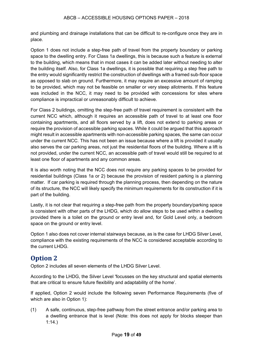and plumbing and drainage installations that can be difficult to re-configure once they are in place.

Option 1 does not include a step-free path of travel from the property boundary or parking space to the dwelling entry. For Class 1a dwellings, this is because such a feature is external to the building, which means that in most cases it can be added later without needing to alter the building itself. Also, for Class 1a dwellings, it is possible that requiring a step free path to the entry would significantly restrict the construction of dwellings with a framed sub-floor space as opposed to slab on ground. Furthermore, it may require an excessive amount of ramping to be provided, which may not be feasible on smaller or very steep allotments. If this feature was included in the NCC, it may need to be provided with concessions for sites where compliance is impractical or unreasonably difficult to achieve.

For Class 2 buildings, omitting the step-free path of travel requirement is consistent with the current NCC which, although it requires an accessible path of travel to at least one floor containing apartments, and all floors served by a lift, does not extend to parking areas or require the provision of accessible parking spaces. While it could be argued that this approach might result in accessible apartments with non-accessible parking spaces, the same can occur under the current NCC. This has not been an issue because where a lift is provided it usually also serves the car parking areas, not just the residential floors of the building. Where a lift is not provided, under the current NCC, an accessible path of travel would still be required to at least one floor of apartments and any common areas.

It is also worth noting that the NCC does not require any parking spaces to be provided for residential buildings (Class 1a or 2) because the provision of resident parking is a planning matter. If car parking is required through the planning process, then depending on the nature of its structure, the NCC will likely specify the minimum requirements for its construction if it is part of the building.

Lastly, it is not clear that requiring a step-free path from the property boundary/parking space is consistent with other parts of the LHDG, which do allow steps to be used within a dwelling provided there is a toilet on the ground or entry level and, for Gold Level only, a bedroom space on the ground or entry level.

Option 1 also does not cover internal stairways because, as is the case for LHDG Silver Level, compliance with the existing requirements of the NCC is considered acceptable according to the current LHDG.

## **Option 2**

Option 2 includes all seven elements of the LHDG Silver Level.

According to the LHDG, the Silver Level 'focusses on the key structural and spatial elements that are critical to ensure future flexibility and adaptability of the home'.

If applied, Option 2 would include the following seven Performance Requirements (five of which are also in Option 1):

(1) A safe, continuous, step-free pathway from the street entrance and/or parking area to a dwelling entrance that is level (Note: this does not apply for blocks steeper than 1:14.)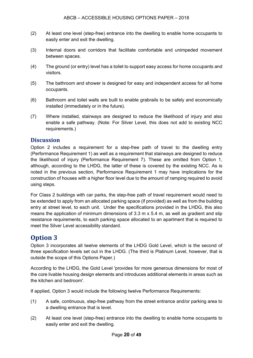- (2) At least one level (step-free) entrance into the dwelling to enable home occupants to easily enter and exit the dwelling.
- (3) Internal doors and corridors that facilitate comfortable and unimpeded movement between spaces.
- (4) The ground (or entry) level has a toilet to support easy access for home occupants and visitors.
- (5) The bathroom and shower is designed for easy and independent access for all home occupants.
- (6) Bathroom and toilet walls are built to enable grabrails to be safely and economically installed (immediately or in the future).
- (7) Where installed, stairways are designed to reduce the likelihood of injury and also enable a safe pathway. (Note: For Silver Level, this does not add to existing NCC requirements.)

#### **Discussion**

Option 2 includes a requirement for a step-free path of travel to the dwelling entry (Performance Requirement 1) as well as a requirement that stairways are designed to reduce the likelihood of injury (Performance Requirement 7). These are omitted from Option 1, although, according to the LHDG, the latter of these is covered by the existing NCC. As is noted in the previous section, Performance Requirement 1 may have implications for the construction of houses with a higher floor level due to the amount of ramping required to avoid using steps.

For Class 2 buildings with car parks, the step-free path of travel requirement would need to be extended to apply from an allocated parking space (if provided) as well as from the building entry at street level, to each unit. Under the specifications provided in the LHDG, this also means the application of minimum dimensions of 3.3 m x 5.4 m, as well as gradient and slip resistance requirements, to each parking space allocated to an apartment that is required to meet the Silver Level accessibility standard.

### **Option 3**

Option 3 incorporates all twelve elements of the LHDG Gold Level, which is the second of three specification levels set out in the LHDG. (The third is Platinum Level, however, that is outside the scope of this Options Paper.)

According to the LHDG, the Gold Level 'provides for more generous dimensions for most of the core livable housing design elements and introduces additional elements in areas such as the kitchen and bedroom'.

If applied, Option 3 would include the following twelve Performance Requirements:

- (1) A safe, continuous, step-free pathway from the street entrance and/or parking area to a dwelling entrance that is level.
- (2) At least one level (step-free) entrance into the dwelling to enable home occupants to easily enter and exit the dwelling.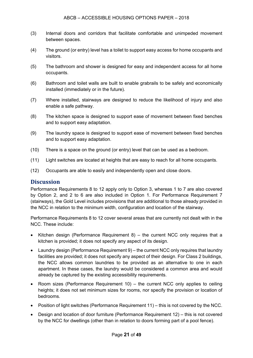- (3) Internal doors and corridors that facilitate comfortable and unimpeded movement between spaces.
- (4) The ground (or entry) level has a toilet to support easy access for home occupants and visitors.
- (5) The bathroom and shower is designed for easy and independent access for all home occupants.
- (6) Bathroom and toilet walls are built to enable grabrails to be safely and economically installed (immediately or in the future).
- (7) Where installed, stairways are designed to reduce the likelihood of injury and also enable a safe pathway.
- (8) The kitchen space is designed to support ease of movement between fixed benches and to support easy adaptation.
- (9) The laundry space is designed to support ease of movement between fixed benches and to support easy adaptation.
- (10) There is a space on the ground (or entry) level that can be used as a bedroom.
- (11) Light switches are located at heights that are easy to reach for all home occupants.
- (12) Occupants are able to easily and independently open and close doors.

#### **Discussion**

Performance Requirements 8 to 12 apply only to Option 3, whereas 1 to 7 are also covered by Option 2, and 2 to 6 are also included in Option 1. For Performance Requirement 7 (stairways), the Gold Level includes provisions that are additional to those already provided in the NCC in relation to the minimum width, configuration and location of the stairway.

Performance Requirements 8 to 12 cover several areas that are currently not dealt with in the NCC. These include:

- Kitchen design (Performance Requirement 8) the current NCC only requires that a kitchen is provided; it does not specify any aspect of its design.
- Laundry design (Performance Requirement 9) the current NCC only requires that laundry facilities are provided; it does not specify any aspect of their design. For Class 2 buildings, the NCC allows common laundries to be provided as an alternative to one in each apartment. In these cases, the laundry would be considered a common area and would already be captured by the existing accessibility requirements.
- Room sizes (Performance Requirement 10) the current NCC only applies to ceiling heights; it does not set minimum sizes for rooms, nor specify the provision or location of bedrooms.
- Position of light switches (Performance Requirement 11) this is not covered by the NCC.
- Design and location of door furniture (Performance Requirement 12) this is not covered by the NCC for dwellings (other than in relation to doors forming part of a pool fence).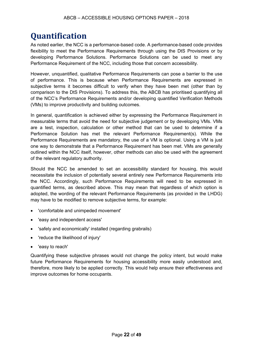## **Quantification**

As noted earlier, the NCC is a performance-based code. A performance-based code provides flexibility to meet the Performance Requirements through using the DtS Provisions or by developing Performance Solutions. Performance Solutions can be used to meet any Performance Requirement of the NCC, including those that concern accessibility.

However, unquantified, qualitative Performance Requirements can pose a barrier to the use of performance. This is because when Performance Requirements are expressed in subjective terms it becomes difficult to verify when they have been met (other than by comparison to the DtS Provisions). To address this, the ABCB has prioritised quantifying all of the NCC's Performance Requirements and/or developing quantified Verification Methods (VMs) to improve productivity and building outcomes.

In general, quantification is achieved either by expressing the Performance Requirement in measurable terms that avoid the need for subjective judgement or by developing VMs. VMs are a test, inspection, calculation or other method that can be used to determine if a Performance Solution has met the relevant Performance Requirement(s). While the Performance Requirements are mandatory, the use of a VM is optional. Using a VM is just one way to demonstrate that a Performance Requirement has been met. VMs are generally outlined within the NCC itself, however, other methods can also be used with the agreement of the relevant regulatory authority.

Should the NCC be amended to set an accessibility standard for housing, this would necessitate the inclusion of potentially several entirely new Performance Requirements into the NCC. Accordingly, such Performance Requirements will need to be expressed in quantified terms, as described above. This may mean that regardless of which option is adopted, the wording of the relevant Performance Requirements (as provided in the LHDG) may have to be modified to remove subjective terms, for example:

- 'comfortable and unimpeded movement'
- 'easy and independent access'
- 'safely and economically' installed (regarding grabrails)
- 'reduce the likelihood of injury'
- 'easy to reach'

Quantifying these subjective phrases would not change the policy intent, but would make future Performance Requirements for housing accessibility more easily understood and, therefore, more likely to be applied correctly. This would help ensure their effectiveness and improve outcomes for home occupants.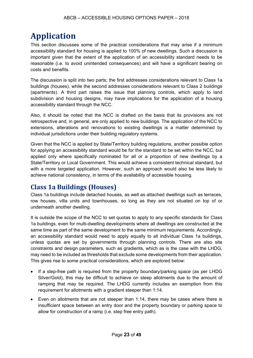## **Application**

This section discusses some of the practical considerations that may arise if a minimum accessibility standard for housing is applied to 100% of new dwellings. Such a discussion is important given that the extent of the application of an accessibility standard needs to be reasonable (i.e. to avoid unintended consequences) and will have a significant bearing on costs and benefits.

The discussion is split into two parts; the first addresses considerations relevant to Class 1a buildings (houses), while the second addresses considerations relevant to Class 2 buildings (apartments). A third part raises the issue that planning controls, which apply to land subdivision and housing designs, may have implications for the application of a housing accessibility standard through the NCC.

Also, it should be noted that the NCC is drafted on the basis that its provisions are not retrospective and, in general, are only applied to new buildings. The application of the NCC to extensions, alterations and renovations to existing dwellings is a matter determined by individual jurisdictions under their building regulatory systems.

Given that the NCC is applied by State/Territory building regulations, another possible option for applying an accessibility standard would be for the standard to be set within the NCC, but applied only where specifically nominated for all or a proportion of new dwellings by a State/Territory or Local Government. This would achieve a consistent technical standard, but with a more targeted application. However, such an approach would also be less likely to achieve national consistency, in terms of the availability of accessible housing.

## **Class 1a Buildings (Houses)**

Class 1a buildings include detached houses, as well as attached dwellings such as terraces, row houses, villa units and townhouses, so long as they are not situated on top of or underneath another dwelling.

It is outside the scope of the NCC to set quotas to apply to any specific standards for Class 1a buildings, even for multi-dwelling developments where all dwellings are constructed at the same time as part of the same development to the same minimum requirements. Accordingly, an accessibility standard would need to apply equally to all individual Class 1a buildings, unless quotas are set by governments through planning controls. There are also site constraints and design parameters, such as gradients, which as is the case with the LHDG, may need to be included as thresholds that exclude some developments from their application. This gives rise to some practical considerations, which are explored below:

- If a step-free path is required from the property boundary/parking space (as per LHDG Silver/Gold), this may be difficult to achieve on steep allotments due to the amount of ramping that may be required. The LHDG currently includes an exemption from this requirement for allotments with a gradient steeper than 1:14.
- Even on allotments that are not steeper than 1:14, there may be cases where there is insufficient space between an entry door and the property boundary or parking space to allow for construction of a ramp (i.e. step free entry path).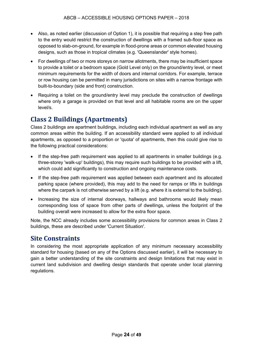- Also, as noted earlier (discussion of Option 1), it is possible that requiring a step free path to the entry would restrict the construction of dwellings with a framed sub-floor space as opposed to slab-on-ground, for example in flood-prone areas or common elevated housing designs, such as those in tropical climates (e.g. 'Queenslander' style homes).
- For dwellings of two or more storeys on narrow allotments, there may be insufficient space to provide a toilet or a bedroom space (Gold Level only) on the ground/entry level, or meet minimum requirements for the width of doors and internal corridors. For example, terrace or row housing can be permitted in many jurisdictions on sites with a narrow frontage with built-to-boundary (side and front) construction.
- Requiring a toilet on the ground/entry level may preclude the construction of dwellings where only a garage is provided on that level and all habitable rooms are on the upper level/s.

## **Class 2 Buildings (Apartments)**

Class 2 buildings are apartment buildings, including each individual apartment as well as any common areas within the building. If an accessibility standard were applied to all individual apartments, as opposed to a proportion or 'quota' of apartments, then this could give rise to the following practical considerations:

- If the step-free path requirement was applied to all apartments in smaller buildings (e.g. three-storey 'walk-up' buildings), this may require such buildings to be provided with a lift, which could add significantly to construction and ongoing maintenance costs.
- If the step-free path requirement was applied between each apartment and its allocated parking space (where provided), this may add to the need for ramps or lifts in buildings where the carpark is not otherwise served by a lift (e.g. where it is external to the building).
- Increasing the size of internal doorways, hallways and bathrooms would likely mean corresponding loss of space from other parts of dwellings, unless the footprint of the building overall were increased to allow for the extra floor space.

Note, the NCC already includes some accessibility provisions for common areas in Class 2 buildings, these are described under 'Current Situation'.

### **Site Constraints**

In considering the most appropriate application of any minimum necessary accessibility standard for housing (based on any of the Options discussed earlier), it will be necessary to gain a better understanding of the site constraints and design limitations that may exist in current land subdivision and dwelling design standards that operate under local planning regulations.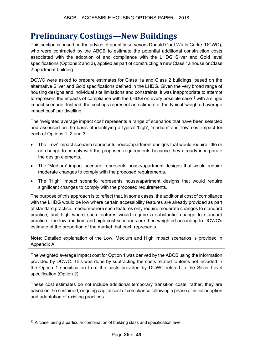## **Preliminary Costings—New Buildings**

This section is based on the advice of quantity surveyors Donald Cant Watts Corke (DCWC), who were contracted by the ABCB to estimate the potential additional construction costs associated with the adoption of and compliance with the LHDG Silver and Gold level specifications (Options 2 and 3), applied as part of constructing a new Class 1a house or Class 2 apartment building.

DCWC were asked to prepare estimates for Class 1a and Class 2 buildings, based on the alternative Silver and Gold specifications defined in the LHDG. Given the very broad range of housing designs and individual site limitations and constraints, it was inappropriate to attempt to represent the impacts of compliance with the LHDG on every possible case<sup>42</sup> with a single impact scenario. Instead, the costings represent an estimate of the typical 'weighted average impact cost' per dwelling.

The 'weighted average impact cost' represents a range of scenarios that have been selected and assessed on the basis of identifying a typical 'high', 'medium' and 'low' cost impact for each of Options 1, 2 and 3.

- The 'Low' impact scenario represents house/apartment designs that would require little or no change to comply with the proposed requirements because they already incorporate the design elements.
- The 'Medium' impact scenario represents house/apartment designs that would require moderate changes to comply with the proposed requirements.
- The 'High' impact scenario represents house/apartment designs that would require significant changes to comply with the proposed requirements.

The purpose of this approach is to reflect that, in some cases, the additional cost of compliance with the LHDG would be low where certain accessibility features are already provided as part of standard practice; medium where such features only require moderate changes to standard practice; and high where such features would require a substantial change to standard practice. The low, medium and high cost scenarios are then weighted according to DCWC's estimate of the proportion of the market that each represents.

**Note**: Detailed explanation of the Low, Medium and High impact scenarios is provided in Appendix A.

The weighted average impact cost for Option 1 was derived by the ABCB using the information provided by DCWC. This was done by subtracting the costs related to items not included in the Option 1 specification from the costs provided by DCWC related to the Silver Level specification (Option 2).

These cost estimates do not include additional temporary transition costs; rather, they are based on the sustained, ongoing capital cost of compliance following a phase of initial adoption and adaptation of existing practices.

<sup>42</sup> A 'case' being a particular combination of building class and specification level.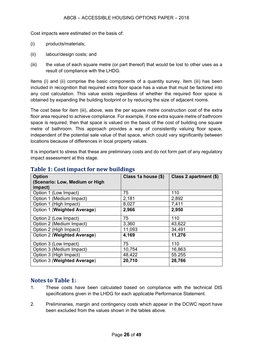Cost impacts were estimated on the basis of:

- (i) products/materials;
- (ii) labour/design costs; and
- (iii) the value of each square metre (or part thereof) that would be lost to other uses as a result of compliance with the LHDG.

Items (i) and (ii) comprise the basic components of a quantity survey. Item (iii) has been included in recognition that required extra floor space has a value that must be factored into any cost calculation. This value exists regardless of whether the required floor space is obtained by expanding the building footprint or by reducing the size of adjacent rooms.

The cost base for item (iii), above, was the per square metre construction cost of the extra floor area required to achieve compliance. For example, if one extra square metre of bathroom space is required, then that space is valued on the basis of the cost of building one square metre of bathroom. This approach provides a way of consistently valuing floor space, independent of the potential sale value of that space, which could vary significantly between locations because of differences in local property values.

It is important to stress that these are preliminary costs and do not form part of any regulatory impact assessment at this stage.

| <b>Option</b>                  | Class 1a house (\$) | Class 2 apartment (\$) |
|--------------------------------|---------------------|------------------------|
| (Scenario: Low, Medium or High |                     |                        |
| impact)                        |                     |                        |
| Option 1 (Low Impact)          | 75                  | 110                    |
| Option 1 (Medium Impact)       | 2,181               | 2,892                  |
| Option 1 (High Impact)         | 8,027               | 7,411                  |
| Option 1 (Weighted Average)    | 2,966               | 2,950                  |
| Option 2 (Low Impact)          | 75                  | 110                    |
| Option 2 (Medium Impact)       | 3,360               | 43,622                 |
| Option 2 (High Impact)         | 11,093              | 34,491                 |
| Option 2 (Weighted Average)    | 4,169               | 11,276                 |
| Option 3 (Low Impact)          | 75                  | 110                    |
| Option 3 (Medium Impact)       | 10,754              | 16,863                 |
| Option 3 (High Impact)         | 48,422              | 55.255                 |
| Option 3 (Weighted Average)    | 20,710              | 28,766                 |

#### **Table 1: Cost impact for new buildings**

#### **Notes to Table 1:**

- 1. These costs have been calculated based on compliance with the technical DtS specifications given in the LHDG for each applicable Performance Statement.
- 2. Preliminaries, margin and contingency costs which appear in the DCWC report have been excluded from the values shown in the tables above.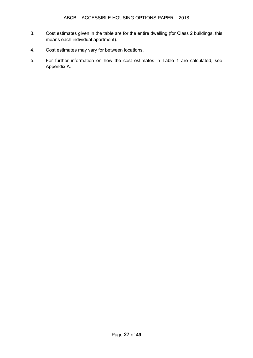- 3. Cost estimates given in the table are for the entire dwelling (for Class 2 buildings, this means each individual apartment).
- 4. Cost estimates may vary for between locations.
- 5. For further information on how the cost estimates in Table 1 are calculated, see Appendix A.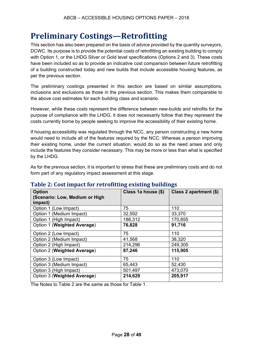## **Preliminary Costings—Retrofitting**

This section has also been prepared on the basis of advice provided by the quantity surveyors, DCWC. Its purpose is to provide the potential costs of retrofitting an existing building to comply with Option 1, or the LHDG Silver or Gold level specifications (Options 2 and 3). These costs have been included so as to provide an indicative cost comparison between future retrofitting of a building constructed today and new builds that include accessible housing features, as per the previous section.

The preliminary costings presented in this section are based on similar assumptions, inclusions and exclusions as those in the previous section. This makes them comparable to the above cost estimates for each building class and scenario.

However, while these costs represent the difference between new-builds and retrofits for the purpose of compliance with the LHDG, it does not necessarily follow that they represent the costs currently borne by people seeking to improve the accessibility of their existing home.

If housing accessibility was regulated through the NCC, any person constructing a new home would need to include all of the features required by the NCC. Whereas a person improving their existing home, under the current situation, would do so as the need arises and only include the features they consider necessary. This may be more or less than what is specified by the LHDG.

As for the previous section, it is important to stress that these are preliminary costs and do not form part of any regulatory impact assessment at this stage.

| <b>Option</b><br>(Scenario: Low, Medium or High<br>impact) | Class 1a house (\$) | Class 2 apartment (\$) |
|------------------------------------------------------------|---------------------|------------------------|
| Option 1 (Low Impact)                                      | 75                  | 110                    |
| Option 1 (Medium Impact)                                   | 32,592              | 33,370                 |
| Option 1 (High Impact)                                     | 186,312             | 170,855                |
| Option 1 (Weighted Average)                                | 76,828              | 91,716                 |
| Option 2 (Low Impact)                                      | 75                  | 110                    |
| Option 2 (Medium Impact)                                   | 41,568              | 38,320                 |
| Option 2 (High Impact)                                     | 214,296             | 249,305                |
| Option 2 (Weighted Average)                                | 87,246              | 115,905                |
| Option 3 (Low Impact)                                      | 75                  | 110                    |
| Option 3 (Medium Impact)                                   | 65,443              | 52,430                 |
| Option 3 (High Impact)                                     | 501,497             | 473,070                |
| Option 3 (Weighted Average)                                | 214,629             | 205,917                |

### **Table 2: Cost impact for retrofitting existing buildings**

The Notes to Table 2 are the same as those for Table 1.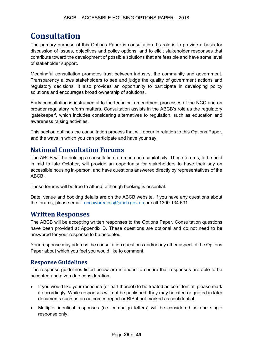## **Consultation**

The primary purpose of this Options Paper is consultation. Its role is to provide a basis for discussion of issues, objectives and policy options, and to elicit stakeholder responses that contribute toward the development of possible solutions that are feasible and have some level of stakeholder support.

Meaningful consultation promotes trust between industry, the community and government. Transparency allows stakeholders to see and judge the quality of government actions and regulatory decisions. It also provides an opportunity to participate in developing policy solutions and encourages broad ownership of solutions.

Early consultation is instrumental to the technical amendment processes of the NCC and on broader regulatory reform matters. Consultation assists in the ABCB's role as the regulatory 'gatekeeper', which includes considering alternatives to regulation, such as education and awareness raising activities.

This section outlines the consultation process that will occur in relation to this Options Paper, and the ways in which you can participate and have your say.

## **National Consultation Forums**

The ABCB will be holding a consultation forum in each capital city. These forums, to be held in mid to late October, will provide an opportunity for stakeholders to have their say on accessible housing in-person, and have questions answered directly by representatives of the ABCB.

These forums will be free to attend, although booking is essential.

Date, venue and booking details are on the ABCB website. If you have any questions about the forums, please email: nccawareness@abcb.gov.au or call 1300 134 631.

#### **Written Responses**

The ABCB will be accepting written responses to the Options Paper. Consultation questions have been provided at Appendix D. These questions are optional and do not need to be answered for your response to be accepted.

Your response may address the consultation questions and/or any other aspect of the Options Paper about which you feel you would like to comment.

#### **Response Guidelines**

The response guidelines listed below are intended to ensure that responses are able to be accepted and given due consideration:

- If you would like your response (or part thereof) to be treated as confidential, please mark it accordingly. While responses will not be published, they may be cited or quoted in later documents such as an outcomes report or RIS if not marked as confidential.
- Multiple, identical responses (i.e. campaign letters) will be considered as one single response only.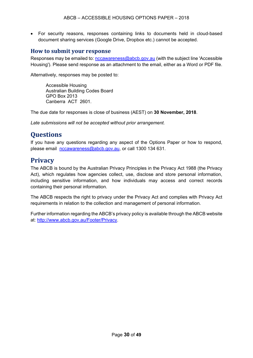• For security reasons, responses containing links to documents held in cloud-based document sharing services (Google Drive, Dropbox etc.) cannot be accepted.

#### **How to submit your response**

Responses may be emailed to: nccawareness@abcb.gov.au (with the subject line 'Accessible Housing'). Please send response as an attachment to the email, either as a Word or PDF file.

Alternatively, responses may be posted to:

Accessible Housing Australian Building Codes Board GPO Box 2013 Canberra ACT 2601.

The due date for responses is close of business (AEST) on **30 November, 2018**.

*Late submissions will not be accepted without prior arrangement.*

## **Questions**

If you have any questions regarding any aspect of the Options Paper or how to respond, please email nccawareness@abcb.gov.au, or call 1300 134 631.

## **Privacy**

The ABCB is bound by the Australian Privacy Principles in the Privacy Act 1988 (the Privacy Act), which regulates how agencies collect, use, disclose and store personal information, including sensitive information, and how individuals may access and correct records containing their personal information.

The ABCB respects the right to privacy under the Privacy Act and complies with Privacy Act requirements in relation to the collection and management of personal information.

Further information regarding the ABCB's privacy policy is available through the ABCB website at: http://www.abcb.gov.au/Footer/Privacy.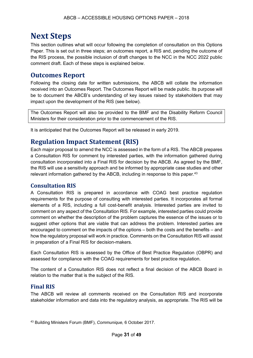## **Next Steps**

This section outlines what will occur following the completion of consultation on this Options Paper. This is set out in three steps; an outcomes report, a RIS and, pending the outcome of the RIS process, the possible inclusion of draft changes to the NCC in the NCC 2022 public comment draft. Each of these steps is explained below.

#### **Outcomes Report**

Following the closing date for written submissions, the ABCB will collate the information received into an Outcomes Report. The Outcomes Report will be made public. Its purpose will be to document the ABCB's understanding of key issues raised by stakeholders that may impact upon the development of the RIS (see below).

The Outcomes Report will also be provided to the BMF and the Disability Reform Council Ministers for their consideration prior to the commencement of the RIS.

It is anticipated that the Outcomes Report will be released in early 2019.

### **Regulation Impact Statement (RIS)**

Each major proposal to amend the NCC is assessed in the form of a RIS. The ABCB prepares a Consultation RIS for comment by interested parties, with the information gathered during consultation incorporated into a Final RIS for decision by the ABCB. As agreed by the BMF, the RIS will use a sensitivity approach and be informed by appropriate case studies and other relevant information gathered by the ABCB, including in response to this paper. 43

#### **Consultation RIS**

A Consultation RIS is prepared in accordance with COAG best practice regulation requirements for the purpose of consulting with interested parties. It incorporates all formal elements of a RIS, including a full cost-benefit analysis. Interested parties are invited to comment on any aspect of the Consultation RIS. For example, interested parties could provide comment on whether the description of the problem captures the essence of the issues or to suggest other options that are viable that can address the problem. Interested parties are encouraged to comment on the impacts of the options – both the costs and the benefits – and how the regulatory proposal will work in practice. Comments on the Consultation RIS will assist in preparation of a Final RIS for decision-makers.

Each Consultation RIS is assessed by the Office of Best Practice Regulation (OBPR) and assessed for compliance with the COAG requirements for best practice regulation.

The content of a Consultation RIS does not reflect a final decision of the ABCB Board in relation to the matter that is the subject of the RIS.

#### **Final RIS**

The ABCB will review all comments received on the Consultation RIS and incorporate stakeholder information and data into the regulatory analysis, as appropriate. The RIS will be

<sup>43</sup> Building Ministers Forum (BMF), *Communique,* 6 October 2017.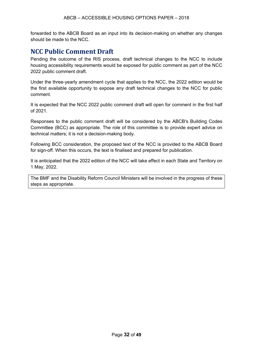forwarded to the ABCB Board as an input into its decision-making on whether any changes should be made to the NCC.

### **NCC Public Comment Draft**

Pending the outcome of the RIS process, draft technical changes to the NCC to include housing accessibility requirements would be exposed for public comment as part of the NCC 2022 public comment draft.

Under the three-yearly amendment cycle that applies to the NCC, the 2022 edition would be the first available opportunity to expose any draft technical changes to the NCC for public comment.

It is expected that the NCC 2022 public comment draft will open for comment in the first half of 2021.

Responses to the public comment draft will be considered by the ABCB's Building Codes Committee (BCC) as appropriate. The role of this committee is to provide expert advice on technical matters; it is not a decision-making body.

Following BCC consideration, the proposed text of the NCC is provided to the ABCB Board for sign-off. When this occurs, the text is finalised and prepared for publication.

It is anticipated that the 2022 edition of the NCC will take effect in each State and Territory on 1 May, 2022.

The BMF and the Disability Reform Council Ministers will be involved in the progress of these steps as appropriate.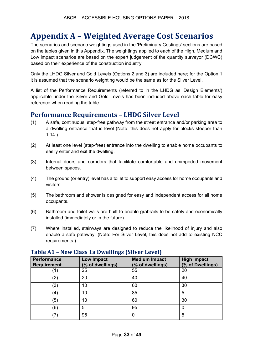## **Appendix A – Weighted Average Cost Scenarios**

The scenarios and scenario weightings used in the 'Preliminary Costings' sections are based on the tables given in this Appendix. The weightings applied to each of the High, Medium and Low impact scenarios are based on the expert judgement of the quantity surveyor (DCWC) based on their experience of the construction industry.

Only the LHDG Silver and Gold Levels (Options 2 and 3) are included here; for the Option 1 it is assumed that the scenario weighting would be the same as for the Silver Level.

A list of the Performance Requirements (referred to in the LHDG as 'Design Elements') applicable under the Silver and Gold Levels has been included above each table for easy reference when reading the table.

### **Performance Requirements – LHDG Silver Level**

- (1) A safe, continuous, step-free pathway from the street entrance and/or parking area to a dwelling entrance that is level (Note: this does not apply for blocks steeper than 1:14.)
- (2) At least one level (step-free) entrance into the dwelling to enable home occupants to easily enter and exit the dwelling.
- (3) Internal doors and corridors that facilitate comfortable and unimpeded movement between spaces.
- (4) The ground (or entry) level has a toilet to support easy access for home occupants and visitors.
- (5) The bathroom and shower is designed for easy and independent access for all home occupants.
- (6) Bathroom and toilet walls are built to enable grabrails to be safely and economically installed (immediately or in the future).
- (7) Where installed, stairways are designed to reduce the likelihood of injury and also enable a safe pathway. (Note: For Silver Level, this does not add to existing NCC requirements.)

| <b>Performance</b><br><b>Requirement</b> | <b>Low Impact</b><br>(% of dwellings) | <b>Medium Impact</b><br>(% of dwellings) | <b>High Impact</b><br>(% of Dwellings) |
|------------------------------------------|---------------------------------------|------------------------------------------|----------------------------------------|
|                                          | 25                                    | 55                                       | 20                                     |
| (2)                                      | 20                                    | 40                                       | 40                                     |
| (3)                                      | 10                                    | 60                                       | 30                                     |
| (4)                                      | 10                                    | 85                                       | 5                                      |
| (5)                                      | 10                                    | 60                                       | 30                                     |
| (6)                                      | 5                                     | 95                                       | 0                                      |
| ′7′                                      | 95                                    | 0                                        | 5                                      |

#### **Table A1 – New Class 1a Dwellings (Silver Level)**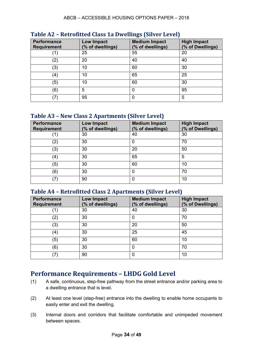| <b>Performance</b><br><b>Requirement</b> | <b>Low Impact</b><br>(% of dwellings) | <b>Medium Impact</b><br>(% of dwellings) | <b>High Impact</b><br>(% of Dwellings) |
|------------------------------------------|---------------------------------------|------------------------------------------|----------------------------------------|
|                                          | 25                                    | 55                                       | 20                                     |
| (2)                                      | 20                                    | 40                                       | 40                                     |
| (3)                                      | 10                                    | 60                                       | 30                                     |
| (4)                                      | 10                                    | 65                                       | 25                                     |
| (5)                                      | 10                                    | 60                                       | 30                                     |
| (6)                                      | 5                                     | 0                                        | 95                                     |
|                                          | 95                                    | 0                                        | 5                                      |

#### **Table A2 – Retrofitted Class 1a Dwellings (Silver Level)**

#### **Table A3 – New Class 2 Apartments (Silver Level)**

| <b>Performance</b><br><b>Requirement</b> | <b>Low Impact</b><br>(% of dwellings) | <b>Medium Impact</b><br>(% of dwellings) | <b>High Impact</b><br>(% of Dwellings) |
|------------------------------------------|---------------------------------------|------------------------------------------|----------------------------------------|
|                                          | 30                                    | 40                                       | 30                                     |
| (2)                                      | 30                                    | 0                                        | 70                                     |
| $^{\prime}3)$                            | 30                                    | 20                                       | 50                                     |
| (4)                                      | 30                                    | 65                                       | 5                                      |
| (5)                                      | 30                                    | 60                                       | 10                                     |
| (6)                                      | 30                                    | 0                                        | 70                                     |
| '7ì                                      | 90                                    | 0                                        | 10                                     |

#### **Table A4 – Retrofitted Class 2 Apartments (Silver Level)**

| Performance<br><b>Requirement</b> | <b>Low Impact</b><br>(% of dwellings) | <b>Medium Impact</b><br>(% of dwellings) | <b>High Impact</b><br>(% of Dwellings) |
|-----------------------------------|---------------------------------------|------------------------------------------|----------------------------------------|
|                                   | 30                                    | 40                                       | 30                                     |
| (2)                               | 30                                    | 0                                        | 70                                     |
| (3)                               | 30                                    | 20                                       | 50                                     |
| (4)                               | 30                                    | 25                                       | 45                                     |
| (5)                               | 30                                    | 60                                       | 10                                     |
| (6)                               | 30                                    | 0                                        | 70                                     |
| ′7′                               | 90                                    | 0                                        | 10                                     |

## **Performance Requirements – LHDG Gold Level**

- (1) A safe, continuous, step-free pathway from the street entrance and/or parking area to a dwelling entrance that is level.
- (2) At least one level (step-free) entrance into the dwelling to enable home occupants to easily enter and exit the dwelling.
- (3) Internal doors and corridors that facilitate comfortable and unimpeded movement between spaces.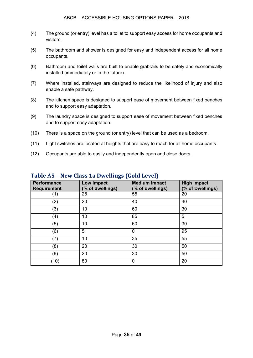- (4) The ground (or entry) level has a toilet to support easy access for home occupants and visitors.
- (5) The bathroom and shower is designed for easy and independent access for all home occupants.
- (6) Bathroom and toilet walls are built to enable grabrails to be safely and economically installed (immediately or in the future).
- (7) Where installed, stairways are designed to reduce the likelihood of injury and also enable a safe pathway.
- (8) The kitchen space is designed to support ease of movement between fixed benches and to support easy adaptation.
- (9) The laundry space is designed to support ease of movement between fixed benches and to support easy adaptation.
- (10) There is a space on the ground (or entry) level that can be used as a bedroom.
- (11) Light switches are located at heights that are easy to reach for all home occupants.
- (12) Occupants are able to easily and independently open and close doors.

| <b>Performance</b><br><b>Requirement</b> | <b>Low Impact</b><br>(% of dwellings) | <b>Medium Impact</b><br>(% of dwellings) | <b>High Impact</b><br>(% of Dwellings) |
|------------------------------------------|---------------------------------------|------------------------------------------|----------------------------------------|
| (1)                                      | 25                                    | 55                                       | 20                                     |
| (2)                                      | 20                                    | 40                                       | 40                                     |
| (3)                                      | 10                                    | 60                                       | 30                                     |
| (4)                                      | 10                                    | 85                                       | 5                                      |
| (5)                                      | 10                                    | 60                                       | 30                                     |
| (6)                                      | 5                                     | 0                                        | 95                                     |
| $\left( 7\right)$                        | 10                                    | 35                                       | 55                                     |
| (8)                                      | 20                                    | 30                                       | 50                                     |
| (9)                                      | 20                                    | 30                                       | 50                                     |
| (10)                                     | 80                                    | $\mathbf 0$                              | 20                                     |

#### **Table A5 – New Class 1a Dwellings (Gold Level)**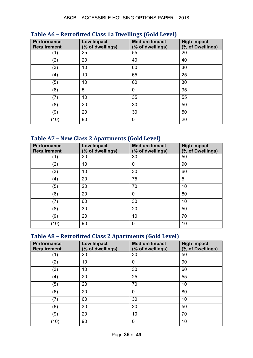| <b>Performance</b><br><b>Requirement</b> | Low Impact<br>(% of dwellings) | <b>Medium Impact</b><br>(% of dwellings) | <b>High Impact</b><br>(% of Dwellings) |
|------------------------------------------|--------------------------------|------------------------------------------|----------------------------------------|
| (1)                                      | 25                             | 55                                       | 20                                     |
| (2)                                      | 20                             | 40                                       | 40                                     |
| (3)                                      | 10                             | 60                                       | 30                                     |
| (4)                                      | 10                             | 65                                       | 25                                     |
| (5)                                      | 10                             | 60                                       | 30                                     |
| (6)                                      | 5                              | 0                                        | 95                                     |
| (7)                                      | 10                             | 35                                       | 55                                     |
| (8)                                      | 20                             | 30                                       | 50                                     |
| (9)                                      | 20                             | 30                                       | 50                                     |
| (10)                                     | 80                             | 0                                        | 20                                     |

#### **Table A6 – Retrofitted Class 1a Dwellings (Gold Level)**

## **Table A7 – New Class 2 Apartments (Gold Level)**

| <b>Performance</b><br><b>Requirement</b> | <b>Low Impact</b><br>(% of dwellings) | <b>Medium Impact</b><br>(% of dwellings) | <b>High Impact</b><br>(% of Dwellings) |
|------------------------------------------|---------------------------------------|------------------------------------------|----------------------------------------|
| (1)                                      | 20                                    | 30                                       | 50                                     |
| (2)                                      | 10                                    | 0                                        | 90                                     |
| (3)                                      | 10                                    | 30                                       | 60                                     |
| (4)                                      | 20                                    | 75                                       | 5                                      |
| (5)                                      | 20                                    | 70                                       | 10                                     |
| (6)                                      | 20                                    | 0                                        | 80                                     |
| (7)                                      | 60                                    | 30                                       | 10                                     |
| (8)                                      | 30                                    | 20                                       | 50                                     |
| (9)                                      | 20                                    | 10                                       | 70                                     |
| (10)                                     | 90                                    | 0                                        | 10                                     |

## **Table A8 – Retrofitted Class 2 Apartments (Gold Level)**

| <b>Performance</b><br><b>Requirement</b> | Low Impact<br>(% of dwellings) | <b>Medium Impact</b><br>(% of dwellings) | <b>High Impact</b><br>(% of Dwellings) |
|------------------------------------------|--------------------------------|------------------------------------------|----------------------------------------|
| (1)                                      | 20                             | 30                                       | 50                                     |
| (2)                                      | 10                             | 0                                        | 90                                     |
| (3)                                      | 10                             | 30                                       | 60                                     |
| (4)                                      | 20                             | 25                                       | 55                                     |
| (5)                                      | 20                             | 70                                       | 10                                     |
| (6)                                      | 20                             | 0                                        | 80                                     |
| (7)                                      | 60                             | 30                                       | 10                                     |
| (8)                                      | 30                             | 20                                       | 50                                     |
| (9)                                      | 20                             | 10                                       | 70                                     |
| (10)                                     | 90                             | 0                                        | 10                                     |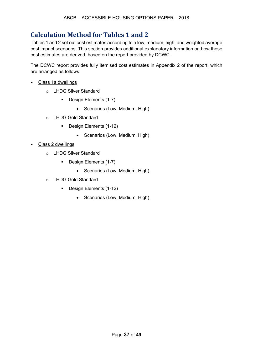## **Calculation Method for Tables 1 and 2**

Tables 1 and 2 set out cost estimates according to a low, medium, high, and weighted average cost impact scenarios. This section provides additional explanatory information on how these cost estimates are derived, based on the report provided by DCWC.

The DCWC report provides fully itemised cost estimates in Appendix 2 of the report, which are arranged as follows:

- Class 1a dwellings
	- o LHDG Silver Standard
		- **Design Elements (1-7)** 
			- Scenarios (Low, Medium, High)
	- o LHDG Gold Standard
		- Design Elements (1-12)
			- Scenarios (Low, Medium, High)
- Class 2 dwellings
	- o LHDG Silver Standard
		- **Design Elements (1-7)** 
			- Scenarios (Low, Medium, High)
	- o LHDG Gold Standard
		- Design Elements (1-12)
			- Scenarios (Low, Medium, High)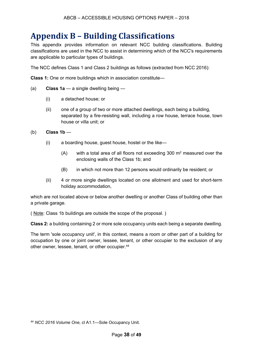## **Appendix B – Building Classifications**

This appendix provides information on relevant NCC building classifications. Building classifications are used in the NCC to assist in determining which of the NCC's requirements are applicable to particular types of buildings.

The NCC defines Class 1 and Class 2 buildings as follows (extracted from NCC 2016):

**Class 1:** One or more buildings which in association constitute—

- (a) **Class 1a**  a single dwelling being
	- (i) a detached house; or
	- (ii) one of a group of two or more attached dwellings, each being a building, separated by a fire-resisting wall, including a row house, terrace house, town house or villa unit; or
- (b) **Class 1b** 
	- (i) a boarding house, guest house, hostel or the like—
		- $(A)$  with a total area of all floors not exceeding 300 m<sup>2</sup> measured over the enclosing walls of the Class 1b; and
		- (B) in which not more than 12 persons would ordinarily be resident; or
	- (ii) 4 or more single dwellings located on one allotment and used for short-term holiday accommodation,

which are not located above or below another dwelling or another Class of building other than a private garage.

( Note: Class 1b buildings are outside the scope of the proposal. )

**Class 2:** a building containing 2 or more sole occupancy units each being a separate dwelling.

The term 'sole occupancy unit', in this context, means a room or other part of a building for occupation by one or joint owner, lessee, tenant, or other occupier to the exclusion of any other owner, lessee, tenant, or other occupier. 44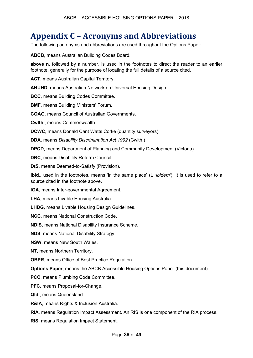## **Appendix C – Acronyms and Abbreviations**

The following acronyms and abbreviations are used throughout the Options Paper:

**ABCB**, means Australian Building Codes Board.

**above n**, followed by a number, is used in the footnotes to direct the reader to an earlier footnote, generally for the purpose of locating the full details of a source cited.

**ACT**, means Australian Capital Territory.

**ANUHD**, means Australian Network on Universal Housing Design.

**BCC**, means Building Codes Committee.

**BMF**, means Building Ministers' Forum.

**COAG**, means Council of Australian Governments.

**Cwlth.**, means Commonwealth.

**DCWC**, means Donald Cant Watts Corke (quantity surveyors).

**DDA**, means *Disability Discrimination Act 1992* (Cwlth.)

**DPCD**, means Department of Planning and Community Development (Victoria).

**DRC**, means Disability Reform Council.

**DtS**, means Deemed-to-Satisfy (Provision).

**Ibid.***,* used in the footnotes, means 'in the same place' (L *'ibidem'*). It is used to refer to a source cited in the footnote above.

**IGA**, means Inter-governmental Agreement.

**LHA**, means Livable Housing Australia.

**LHDG**, means Livable Housing Design Guidelines.

**NCC**, means National Construction Code.

**NDIS**, means National Disability Insurance Scheme.

**NDS**, means National Disability Strategy.

**NSW**, means New South Wales.

**NT**, means Northern Territory.

**OBPR**, means Office of Best Practice Regulation.

**Options Paper**, means the ABCB Accessible Housing Options Paper (this document).

**PCC**, means Plumbing Code Committee.

**PFC**, means Proposal-for-Change.

**Qld.**, means Queensland.

**R&IA**, means Rights & Inclusion Australia.

**RIA**, means Regulation Impact Assessment. An RIS is one component of the RIA process.

**RIS**, means Regulation Impact Statement.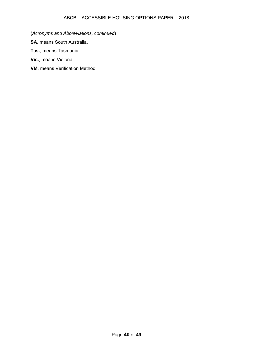(*Acronyms and Abbreviations, continued*)

**SA**, means South Australia.

**Tas.**, means Tasmania.

**Vic.**, means Victoria.

**VM**, means Verification Method.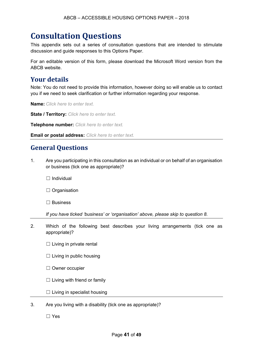## **Consultation Questions**

This appendix sets out a series of consultation questions that are intended to stimulate discussion and guide responses to this Options Paper.

For an editable version of this form, please download the Microsoft Word version from the ABCB website.

## **Your details**

Note: You do not need to provide this information, however doing so will enable us to contact you if we need to seek clarification or further information regarding your response.

**Name:** *Click here to enter text.*

**State / Territory:** *Click here to enter text.*

**Telephone number:** *Click here to enter text.*

**Email or postal address:** *Click here to enter text.*

#### **General Questions**

1. Are you participating in this consultation as an individual or on behalf of an organisation or business (tick one as appropriate)?

□ Individual

□ Organisation

☐ Business

*If you have ticked 'business' or 'organisation' above, please skip to question 8.*

2. Which of the following best describes your living arrangements (tick one as appropriate)?

 $\Box$  Living in private rental

 $\Box$  Living in public housing

☐ Owner occupier

 $\Box$  Living with friend or family

- $\Box$  Living in specialist housing
- 3. Are you living with a disability (tick one as appropriate)?

☐ Yes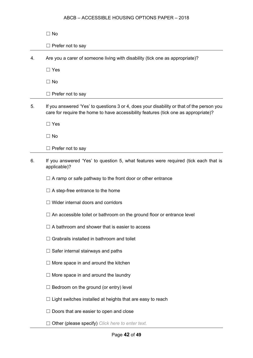|    | $\Box$ No                                                                                                                                                                        |
|----|----------------------------------------------------------------------------------------------------------------------------------------------------------------------------------|
|    | $\Box$ Prefer not to say                                                                                                                                                         |
| 4. | Are you a carer of someone living with disability (tick one as appropriate)?                                                                                                     |
|    | $\Box$ Yes                                                                                                                                                                       |
|    | $\Box$ No                                                                                                                                                                        |
|    | $\Box$ Prefer not to say                                                                                                                                                         |
| 5. | If you answered 'Yes' to questions 3 or 4, does your disability or that of the person you<br>care for require the home to have accessibility features (tick one as appropriate)? |
|    | $\Box$ Yes                                                                                                                                                                       |
|    | $\Box$ No                                                                                                                                                                        |
|    | $\Box$ Prefer not to say                                                                                                                                                         |
| 6. | If you answered 'Yes' to question 5, what features were required (tick each that is<br>applicable)?                                                                              |
|    | $\Box$ A ramp or safe pathway to the front door or other entrance                                                                                                                |
|    | $\Box$ A step-free entrance to the home                                                                                                                                          |
|    | □ Wider internal doors and corridors                                                                                                                                             |
|    | An accessible toilet or bathroom on the ground floor or entrance level                                                                                                           |
|    | A bathroom and shower that is easier to access                                                                                                                                   |
|    | Grabrails installed in bathroom and toilet                                                                                                                                       |
|    | Safer internal stairways and paths                                                                                                                                               |
|    | $\Box$ More space in and around the kitchen                                                                                                                                      |
|    | $\Box$ More space in and around the laundry                                                                                                                                      |
|    | Bedroom on the ground (or entry) level                                                                                                                                           |
|    | $\sqsupset$ Light switches installed at heights that are easy to reach                                                                                                           |
|    | Doors that are easier to open and close                                                                                                                                          |
|    | Other (please specify) Click here to enter text.                                                                                                                                 |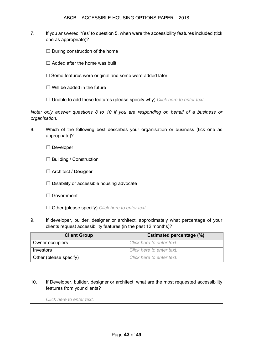- 7. If you answered 'Yes' to question 5, when were the accessibility features included (tick one as appropriate)?
	- $\Box$  During construction of the home
	- $\Box$  Added after the home was built
	- ☐ Some features were original and some were added later.
	- $\Box$  Will be added in the future

☐ Unable to add these features (please specify why) *Click here to enter text.*

*Note: only answer questions 8 to 10 if you are responding on behalf of a business or organisation.*

8. Which of the following best describes your organisation or business (tick one as appropriate)?

☐ Developer

- ☐ Building / Construction
- ☐ Architect / Designer
- $\Box$  Disability or accessible housing advocate
- ☐ Government
- ☐ Other (please specify) *Click here to enter text.*
- 9. If developer, builder, designer or architect, approximately what percentage of your clients request accessibility features (in the past 12 months)?

| <b>Estimated percentage (%)</b><br><b>Client Group</b> |                           |  |  |
|--------------------------------------------------------|---------------------------|--|--|
| Owner occupiers                                        | Click here to enter text. |  |  |
| Investors                                              | Click here to enter text. |  |  |
| Other (please specify)                                 | Click here to enter text. |  |  |

10. If Developer, builder, designer or architect, what are the most requested accessibility features from your clients?

*Click here to enter text.*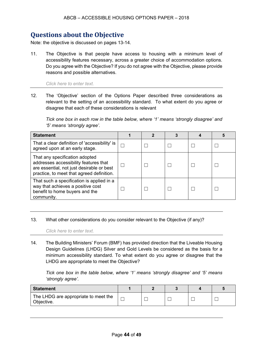## **Questions about the Objective**

Note: the objective is discussed on pages 13-14.

11. The Objective is that people have access to housing with a minimum level of accessibility features necessary, across a greater choice of accommodation options. Do you agree with the Objective? If you do not agree with the Objective, please provide reasons and possible alternatives.

#### *Click here to enter text.*

12. The 'Objective' section of the Options Paper described three considerations as relevant to the setting of an accessibility standard. To what extent do you agree or disagree that each of these considerations is relevant

*Tick one box in each row in the table below, where '1' means 'strongly disagree' and '5' means 'strongly agree'.* 

| <b>Statement</b>                                                                                                                                                  |  |  |  |
|-------------------------------------------------------------------------------------------------------------------------------------------------------------------|--|--|--|
| That a clear definition of 'accessibility' is<br>agreed upon at an early stage.                                                                                   |  |  |  |
| That any specification adopted<br>addresses accessibility features that<br>are essential, not just desirable or best<br>practice, to meet that agreed definition. |  |  |  |
| That such a specification is applied in a<br>way that achieves a positive cost<br>benefit to home buyers and the<br>community.                                    |  |  |  |

#### 13. What other considerations do you consider relevant to the Objective (if any)?

*Click here to enter text.*

14. The Building Ministers' Forum (BMF) has provided direction that the Liveable Housing Design Guidelines (LHDG) Silver and Gold Levels be considered as the basis for a minimum accessibility standard. To what extent do you agree or disagree that the LHDG are appropriate to meet the Objective?

*Tick one box in the table below, where '1' means 'strongly disagree' and '5' means 'strongly agree'.*

| <b>Statement</b>                                   |  |  |  |
|----------------------------------------------------|--|--|--|
| The LHDG are appropriate to meet the<br>Objective. |  |  |  |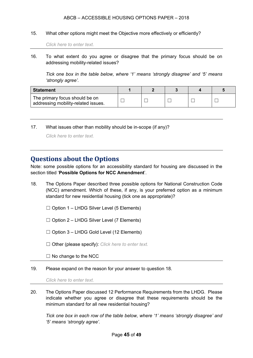15. What other options might meet the Objective more effectively or efficiently?

*Click here to enter text.*

16. To what extent do you agree or disagree that the primary focus should be on addressing mobility-related issues?

*Tick one box in the table below, where '1' means 'strongly disagree' and '5' means 'strongly agree'.*

| <b>Statement</b>                                                      |  |  |  |
|-----------------------------------------------------------------------|--|--|--|
| The primary focus should be on<br>addressing mobility-related issues. |  |  |  |

17. What issues other than mobility should be in-scope (if any)?

*Click here to enter text.*

### **Questions about the Options**

Note: some possible options for an accessibility standard for housing are discussed in the section titled '**Possible Options for NCC Amendment**'.

- 18. The Options Paper described three possible options for National Construction Code (NCC) amendment. Which of these, if any, is your preferred option as a minimum standard for new residential housing (tick one as appropriate)?
	- $\Box$  Option 1 LHDG Silver Level (5 Elements)
	- $\Box$  Option 2 LHDG Silver Level (7 Elements)
	- $\Box$  Option 3 LHDG Gold Level (12 Elements)
	- ☐ Other (please specify): *Click here to enter text.*

 $\Box$  No change to the NCC

19. Please expand on the reason for your answer to question 18.

*Click here to enter text.*

20. The Options Paper discussed 12 Performance Requirements from the LHDG. Please indicate whether you agree or disagree that these requirements should be the minimum standard for all new residential housing?

*Tick one box in each row of the table below, where '1' means 'strongly disagree' and '5' means 'strongly agree'.*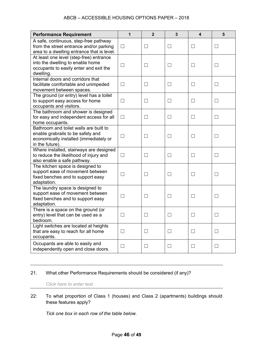| <b>Performance Requirement</b>                                                                                                           | 1                 | $\overline{2}$    | $\overline{\mathbf{3}}$ | $\overline{\mathbf{4}}$ | 5                        |
|------------------------------------------------------------------------------------------------------------------------------------------|-------------------|-------------------|-------------------------|-------------------------|--------------------------|
| A safe, continuous, step-free pathway<br>from the street entrance and/or parking<br>area to a dwelling entrance that is level.           | $\Box$            | $\vert \ \ \vert$ | $\Box$                  | $\Box$                  | П                        |
| At least one level (step-free) entrance<br>into the dwelling to enable home<br>occupants to easily enter and exit the<br>dwelling.       | $\Box$            | $\Box$            | $\Box$                  | П                       | П                        |
| Internal doors and corridors that<br>facilitate comfortable and unimpeded<br>movement between spaces.                                    | $\vert \ \ \vert$ | $\vert \ \ \vert$ | $\Box$                  | $\mathsf{L}$            | $\Box$                   |
| The ground (or entry) level has a toilet<br>to support easy access for home<br>occupants and visitors.                                   | $\Box$            | $\mathsf{L}$      | $\Box$                  | $\Box$                  | $\Box$                   |
| The bathroom and shower is designed<br>for easy and independent access for all<br>home occupants.                                        | $\Box$            |                   | $\Box$                  | $\mathsf{L}$            | $\overline{\phantom{a}}$ |
| Bathroom and toilet walls are built to<br>enable grabrails to be safely and<br>economically installed (immediately or<br>in the future). | $\Box$            | $\mathsf{L}$      | $\Box$                  | $\perp$                 | $\Box$                   |
| Where installed, stairways are designed<br>to reduce the likelihood of injury and<br>also enable a safe pathway.                         | $\vert \ \ \vert$ |                   | $\perp$                 |                         |                          |
| The kitchen space is designed to<br>support ease of movement between<br>fixed benches and to support easy<br>adaptation.                 | $\Box$            | $\vert \ \ \vert$ | □                       | $\mathsf{L}$            | $\Box$                   |
| The laundry space is designed to<br>support ease of movement between<br>fixed benches and to support easy<br>adaptation.                 | $\mathcal{L}$     |                   | Ш                       |                         | $\Box$                   |
| There is a space on the ground (or<br>entry) level that can be used as a<br>bedroom.                                                     | $\Box$            |                   | $\Box$                  |                         |                          |
| Light switches are located at heights<br>that are easy to reach for all home<br>occupants.                                               | $\vert \ \ \vert$ | $\vert \ \ \vert$ | $\Box$                  | $\vert \ \ \vert$       | $\Box$                   |
| Occupants are able to easily and<br>independently open and close doors.                                                                  | $\Box$            | ⊔                 | $\Box$                  | ⊔                       | ப                        |

#### 21. What other Performance Requirements should be considered (if any)?

*Click here to enter text.*

#### 22: To what proportion of Class 1 (houses) and Class 2 (apartments) buildings should these features apply?

*Tick one box in each row of the table below.*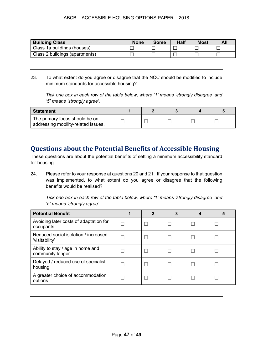| <b>Building Class</b>          | <b>None</b> | Some | <b>Half</b> | <b>Most</b> |  |
|--------------------------------|-------------|------|-------------|-------------|--|
| Class 1a buildings (houses)    |             |      |             |             |  |
| Class 2 buildings (apartments) |             |      |             |             |  |

23. To what extent do you agree or disagree that the NCC should be modified to include minimum standards for accessible housing?

*Tick one box in each row of the table below, where '1' means 'strongly disagree' and '5' means 'strongly agree'.*

| <b>Statement</b>                                                      |  |  |  |
|-----------------------------------------------------------------------|--|--|--|
| The primary focus should be on<br>addressing mobility-related issues. |  |  |  |

### **Questions about the Potential Benefits of Accessible Housing**

These questions are about the potential benefits of setting a minimum accessibility standard for housing.

24. Please refer to your response at questions 20 and 21. If your response to that question was implemented, to what extent do you agree or disagree that the following benefits would be realised?

*Tick one box in each row of the table below, where '1' means 'strongly disagree' and '5' means 'strongly agree'.*

| <b>Potential Benefit</b>                               | $\mathbf{2}$ |  |  |
|--------------------------------------------------------|--------------|--|--|
| Avoiding later costs of adaptation for<br>occupants    |              |  |  |
| Reduced social isolation / increased<br>'visitability' |              |  |  |
| Ability to stay / age in home and<br>community longer  |              |  |  |
| Delayed / reduced use of specialist<br>housing         |              |  |  |
| A greater choice of accommodation<br>options           |              |  |  |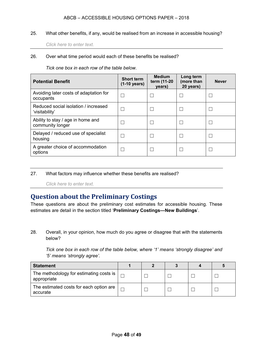25. What other benefits, if any, would be realised from an increase in accessible housing?

*Click here to enter text.*

#### 26. Over what time period would each of these benefits be realised?

*Tick one box in each row of the table below.*

| <b>Potential Benefit</b>                               | <b>Short term</b><br>$(1-10 \text{ years})$ | <b>Medium</b><br>term (11-20<br>years) | Long term<br>(more than<br>20 years) | <b>Never</b> |
|--------------------------------------------------------|---------------------------------------------|----------------------------------------|--------------------------------------|--------------|
| Avoiding later costs of adaptation for<br>occupants    |                                             |                                        |                                      |              |
| Reduced social isolation / increased<br>'visitability' |                                             |                                        |                                      |              |
| Ability to stay / age in home and<br>community longer  |                                             |                                        |                                      |              |
| Delayed / reduced use of specialist<br>housing         |                                             |                                        |                                      |              |
| A greater choice of accommodation<br>options           |                                             |                                        |                                      |              |

#### 27. What factors may influence whether these benefits are realised?

*Click here to enter text.*

## **Question about the Preliminary Costings**

These questions are about the preliminary cost estimates for accessible housing. These estimates are detail in the section titled '**Preliminary Costings—New Buildings**'.

28. Overall, in your opinion, how much do you agree or disagree that with the statements below?

*Tick one box in each row of the table below, where '1' means 'strongly disagree' and '5' means 'strongly agree'.*

| <b>Statement</b>                                         |  |  |  |
|----------------------------------------------------------|--|--|--|
| The methodology for estimating costs is  <br>appropriate |  |  |  |
| The estimated costs for each option are<br>accurate      |  |  |  |